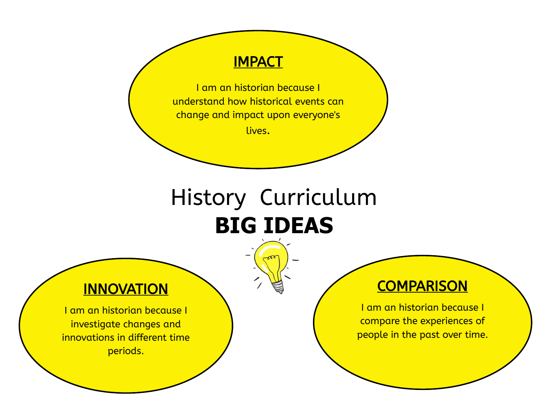#### **IMPACT**

I am an historian because I understand how historical events can change and impact upon everyone's

lives.

# History Curriculum **BIG IDEAS**

### **INNOVATION**

I am an historian because I investigate changes and innovations in different time periods.

## **COMPARISON**

I am an historian because I compare the experiences of people in the past over time.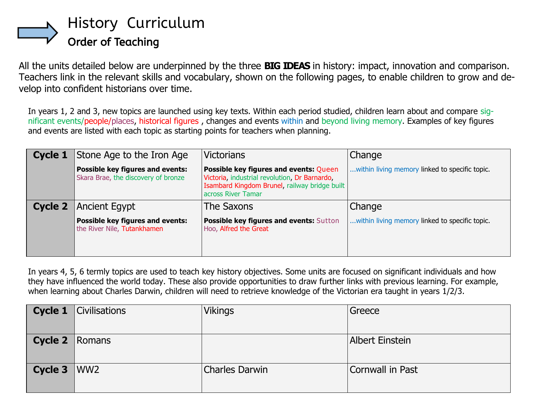

All the units detailed below are underpinned by the three **BIG IDEAS** in history: impact, innovation and comparison. Teachers link in the relevant skills and vocabulary, shown on the following pages, to enable children to grow and develop into confident historians over time.

In years 1, 2 and 3, new topics are launched using key texts. Within each period studied, children learn about and compare significant events/people/places, historical figures , changes and events within and beyond living memory. Examples of key figures and events are listed with each topic as starting points for teachers when planning.

| Cycle 1 | Stone Age to the Iron Age                                               | <b>Victorians</b>                                                                                                                                                     | Change                                         |
|---------|-------------------------------------------------------------------------|-----------------------------------------------------------------------------------------------------------------------------------------------------------------------|------------------------------------------------|
|         | Possible key figures and events:<br>Skara Brae, the discovery of bronze | <b>Possible key figures and events: Queen</b><br>Victoria, industrial revolution, Dr Barnardo,<br>Isambard Kingdom Brunel, railway bridge built<br>across River Tamar | within living memory linked to specific topic. |
| Cycle 2 | Ancient Egypt                                                           | The Saxons                                                                                                                                                            | Change                                         |
|         | <b>Possible key figures and events:</b><br>the River Nile, Tutankhamen  | Possible key figures and events: Sutton<br>Hoo, Alfred the Great                                                                                                      | within living memory linked to specific topic. |

In years 4, 5, 6 termly topics are used to teach key history objectives. Some units are focused on significant individuals and how they have influenced the world today. These also provide opportunities to draw further links with previous learning. For example, when learning about Charles Darwin, children will need to retrieve knowledge of the Victorian era taught in years 1/2/3.

|                       | <b>Cycle 1</b> $\vert$ Civilisations | <b>Vikings</b>        | Greece                 |
|-----------------------|--------------------------------------|-----------------------|------------------------|
| <b>Cycle 2</b> Romans |                                      |                       | <b>Albert Einstein</b> |
| Cycle $3$ WW2         |                                      | <b>Charles Darwin</b> | Cornwall in Past       |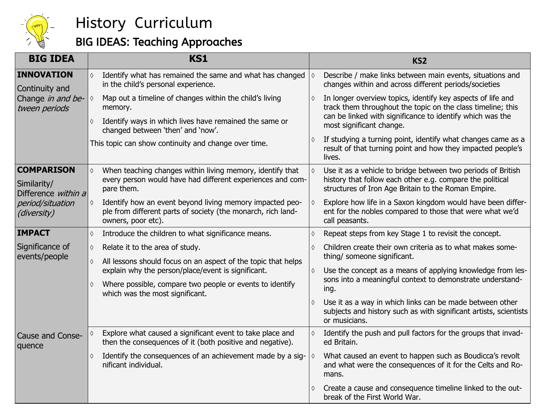

### BIG IDEAS: Teaching Approaches

| <b>BIG IDEA</b>                                         |                                                                                                           | <b>KS1</b>                                                                                                                                     |            | KS <sub>2</sub>                                                                                                                                                                  |
|---------------------------------------------------------|-----------------------------------------------------------------------------------------------------------|------------------------------------------------------------------------------------------------------------------------------------------------|------------|----------------------------------------------------------------------------------------------------------------------------------------------------------------------------------|
| <b>INNOVATION</b><br>Continuity and                     | Identify what has remained the same and what has changed<br>♦<br>♦<br>in the child's personal experience. |                                                                                                                                                |            | Describe / make links between main events, situations and<br>changes within and across different periods/societies                                                               |
| Change in and be-<br>tween periods                      | ♦                                                                                                         | Map out a timeline of changes within the child's living<br>memory.                                                                             | ♦          | In longer overview topics, identify key aspects of life and<br>track them throughout the topic on the class timeline; this                                                       |
|                                                         | Identify ways in which lives have remained the same or<br>♦<br>changed between 'then' and 'now'.          |                                                                                                                                                |            | can be linked with significance to identify which was the<br>most significant change.                                                                                            |
|                                                         |                                                                                                           | This topic can show continuity and change over time.                                                                                           |            | If studying a turning point, identify what changes came as a<br>result of that turning point and how they impacted people's<br>lives.                                            |
| <b>COMPARISON</b><br>Similarity/<br>Difference within a | ♦                                                                                                         | When teaching changes within living memory, identify that<br>every person would have had different experiences and com-<br>pare them.          |            | Use it as a vehicle to bridge between two periods of British<br>history that follow each other e.g. compare the political<br>structures of Iron Age Britain to the Roman Empire. |
| period/situation<br>(diversity)                         | ♦                                                                                                         | Identify how an event beyond living memory impacted peo-<br>ple from different parts of society (the monarch, rich land-<br>owners, poor etc). |            | Explore how life in a Saxon kingdom would have been differ-<br>ent for the nobles compared to those that were what we'd<br>call peasants.                                        |
| <b>IMPACT</b>                                           | $\Diamond$                                                                                                | Introduce the children to what significance means.                                                                                             | $\Diamond$ | Repeat steps from key Stage 1 to revisit the concept.                                                                                                                            |
| Significance of<br>events/people                        | $\Diamond$                                                                                                | Relate it to the area of study.                                                                                                                | $\Diamond$ | Children create their own criteria as to what makes some-<br>thing/ someone significant.                                                                                         |
|                                                         | ♦                                                                                                         | All lessons should focus on an aspect of the topic that helps<br>explain why the person/place/event is significant.<br>♦                       |            | Use the concept as a means of applying knowledge from les-                                                                                                                       |
|                                                         | ♦                                                                                                         | Where possible, compare two people or events to identify<br>which was the most significant.                                                    |            | sons into a meaningful context to demonstrate understand-<br>ing.                                                                                                                |
|                                                         |                                                                                                           |                                                                                                                                                | $\Diamond$ | Use it as a way in which links can be made between other<br>subjects and history such as with significant artists, scientists<br>or musicians.                                   |
| Cause and Conse-<br>quence                              |                                                                                                           | Explore what caused a significant event to take place and<br>then the consequences of it (both positive and negative).                         |            | Identify the push and pull factors for the groups that invad-<br>ed Britain.                                                                                                     |
|                                                         | ♦                                                                                                         | Identify the consequences of an achievement made by a sig-<br>nificant individual.                                                             | ♦          | What caused an event to happen such as Boudicca's revolt<br>and what were the consequences of it for the Celts and Ro-<br>mans.                                                  |
|                                                         |                                                                                                           |                                                                                                                                                |            | Create a cause and consequence timeline linked to the out-<br>break of the First World War.                                                                                      |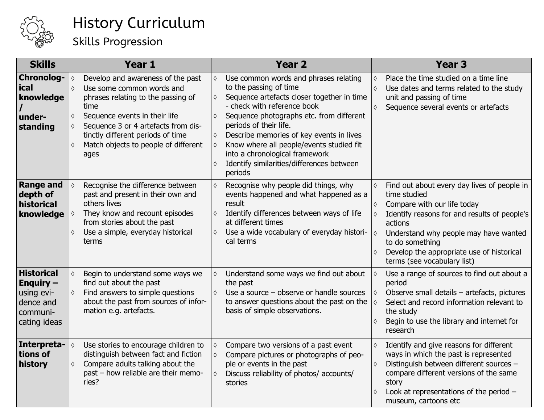

## Skills Progression

| <b>Skills</b>                                                                                             | Year 1                                                                                                                                                                                                                                                                                                                        | <b>Year 2</b>                                                                                                                                                                                                                                                                                                                                                                                                                                                          | <b>Year 3</b>                                                                                                                                                                                                                                                                                                                                                       |
|-----------------------------------------------------------------------------------------------------------|-------------------------------------------------------------------------------------------------------------------------------------------------------------------------------------------------------------------------------------------------------------------------------------------------------------------------------|------------------------------------------------------------------------------------------------------------------------------------------------------------------------------------------------------------------------------------------------------------------------------------------------------------------------------------------------------------------------------------------------------------------------------------------------------------------------|---------------------------------------------------------------------------------------------------------------------------------------------------------------------------------------------------------------------------------------------------------------------------------------------------------------------------------------------------------------------|
| <b>Chronolog-</b><br><b>ical</b><br>knowledge<br>under-<br>standing                                       | Develop and awareness of the past<br>$\Diamond$<br>Use some common words and<br>$\Diamond$<br>phrases relating to the passing of<br>time<br>Sequence events in their life<br>♦<br>Sequence 3 or 4 artefacts from dis-<br>$\Diamond$<br>tinctly different periods of time<br>Match objects to people of different<br>♦<br>ages | Use common words and phrases relating<br>$\Diamond$<br>to the passing of time<br>Sequence artefacts closer together in time<br>$\Diamond$<br>- check with reference book<br>Sequence photographs etc. from different<br>$\Diamond$<br>periods of their life.<br>Describe memories of key events in lives<br>$\Diamond$<br>Know where all people/events studied fit<br>♦<br>into a chronological framework<br>Identify similarities/differences between<br>♦<br>periods | Place the time studied on a time line<br>$\Diamond$<br>Use dates and terms related to the study<br>$\Diamond$<br>unit and passing of time<br>Sequence several events or artefacts<br>$\Diamond$                                                                                                                                                                     |
| <b>Range and</b><br>depth of<br>historical<br>knowledge                                                   | Recognise the difference between<br>$\Diamond$<br>past and present in their own and<br>others lives<br>They know and recount episodes<br>♦<br>from stories about the past<br>Use a simple, everyday historical<br>♦<br>terms                                                                                                  | Recognise why people did things, why<br>$\Diamond$<br>events happened and what happened as a<br>result<br>Identify differences between ways of life<br>$\Diamond$<br>at different times<br>Use a wide vocabulary of everyday histori-<br>$\Diamond$<br>cal terms                                                                                                                                                                                                       | Find out about every day lives of people in<br>$\Diamond$<br>time studied<br>Compare with our life today<br>$\Diamond$<br>Identify reasons for and results of people's<br>$\Diamond$<br>actions<br>Understand why people may have wanted<br>$\Diamond$<br>to do something<br>Develop the appropriate use of historical<br>$\Diamond$<br>terms (see vocabulary list) |
| <b>Historical</b><br><b>Enquiry <math>-</math></b><br>using evi-<br>dence and<br>communi-<br>cating ideas | $\Diamond$<br>Begin to understand some ways we<br>find out about the past<br>Find answers to simple questions<br>♦<br>about the past from sources of infor-<br>mation e.g. artefacts.                                                                                                                                         | Understand some ways we find out about<br>$\Diamond$<br>the past<br>Use a source $-$ observe or handle sources<br>$\Diamond$<br>to answer questions about the past on the<br>basis of simple observations.                                                                                                                                                                                                                                                             | Use a range of sources to find out about a<br>$\Diamond$<br>period<br>Observe small details - artefacts, pictures<br>♦<br>$\Diamond$<br>Select and record information relevant to<br>the study<br>Begin to use the library and internet for<br>$\Diamond$<br>research                                                                                               |
| Interpreta-<br>tions of<br>history                                                                        | Use stories to encourage children to<br>$\Diamond$<br>distinguish between fact and fiction<br>Compare adults talking about the<br>$\Diamond$<br>past - how reliable are their memo-<br>ries?                                                                                                                                  | Compare two versions of a past event<br>$\Diamond$<br>Compare pictures or photographs of peo-<br>$\Diamond$<br>ple or events in the past<br>Discuss reliability of photos/ accounts/<br>$\Diamond$<br>stories                                                                                                                                                                                                                                                          | Identify and give reasons for different<br>$\Diamond$<br>ways in which the past is represented<br>Distinguish between different sources -<br>$\Diamond$<br>compare different versions of the same<br>story<br>Look at representations of the period -<br>$\Diamond$<br>museum, cartoons etc                                                                         |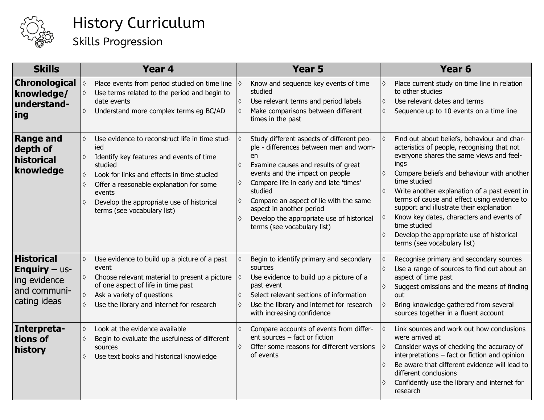

## Skills Progression

| <b>Skills</b>                                                                             | Year <sub>4</sub>                                                                                                                                                                                                                                                                                                    | Year <sub>5</sub>                                                                                                                                                                                                                                                                                                                                                               | Year <sub>6</sub>                                                                                                                                                                                                                                                                                                                                                                                                                                                                                             |
|-------------------------------------------------------------------------------------------|----------------------------------------------------------------------------------------------------------------------------------------------------------------------------------------------------------------------------------------------------------------------------------------------------------------------|---------------------------------------------------------------------------------------------------------------------------------------------------------------------------------------------------------------------------------------------------------------------------------------------------------------------------------------------------------------------------------|---------------------------------------------------------------------------------------------------------------------------------------------------------------------------------------------------------------------------------------------------------------------------------------------------------------------------------------------------------------------------------------------------------------------------------------------------------------------------------------------------------------|
| <b>Chronological</b><br>knowledge/<br>understand-<br> ing                                 | Place events from period studied on time line<br>$\Diamond$<br>Use terms related to the period and begin to<br>♦<br>date events<br>Understand more complex terms eg BC/AD<br>♦                                                                                                                                       | Know and sequence key events of time<br>studied<br>Use relevant terms and period labels<br>Make comparisons between different<br>times in the past                                                                                                                                                                                                                              | Place current study on time line in relation<br>to other studies<br>Use relevant dates and terms<br>$\Diamond$<br>Sequence up to 10 events on a time line<br>$\Diamond$                                                                                                                                                                                                                                                                                                                                       |
| <b>Range and</b><br>depth of<br>historical<br>knowledge                                   | Use evidence to reconstruct life in time stud-<br>♦<br>ied<br>Identify key features and events of time<br>♦<br>studied<br>Look for links and effects in time studied<br>♦<br>Offer a reasonable explanation for some<br>♦<br>events<br>Develop the appropriate use of historical<br>♦<br>terms (see vocabulary list) | Study different aspects of different peo-<br>ple - differences between men and wom-<br>en<br>Examine causes and results of great<br>events and the impact on people<br>Compare life in early and late 'times'<br>studied<br>Compare an aspect of lie with the same<br>aspect in another period<br>Develop the appropriate use of historical<br>♦<br>terms (see vocabulary list) | Find out about beliefs, behaviour and char-<br>acteristics of people, recognising that not<br>everyone shares the same views and feel-<br>ings<br>Compare beliefs and behaviour with another<br>time studied<br>Write another explanation of a past event in<br>terms of cause and effect using evidence to<br>support and illustrate their explanation<br>Know key dates, characters and events of<br>time studied<br>Develop the appropriate use of historical<br>$\Diamond$<br>terms (see vocabulary list) |
| <b>Historical</b><br><b>Enquiry - us-</b><br>ing evidence<br>and communi-<br>cating ideas | $\Diamond$<br>Use evidence to build up a picture of a past<br>event<br>Choose relevant material to present a picture<br>♦<br>of one aspect of life in time past<br>Ask a variety of questions<br>♦<br>Use the library and internet for research<br>♦                                                                 | Begin to identify primary and secondary<br>sources<br>Use evidence to build up a picture of a<br>past event<br>Select relevant sections of information<br>Use the library and internet for research<br>with increasing confidence                                                                                                                                               | Recognise primary and secondary sources<br>Use a range of sources to find out about an<br>$\Diamond$<br>aspect of time past<br>Suggest omissions and the means of finding<br>out<br>Bring knowledge gathered from several<br>♦<br>sources together in a fluent account                                                                                                                                                                                                                                        |
| Interpreta-<br>tions of<br>history                                                        | Look at the evidence available<br>$\Diamond$<br>Begin to evaluate the usefulness of different<br>♦<br>sources<br>Use text books and historical knowledge<br>♦                                                                                                                                                        | Compare accounts of events from differ-<br>♦<br>ent sources - fact or fiction<br>Offer some reasons for different versions<br>$\Diamond$<br>of events                                                                                                                                                                                                                           | Link sources and work out how conclusions<br>were arrived at<br>Consider ways of checking the accuracy of<br>interpretations - fact or fiction and opinion<br>Be aware that different evidence will lead to<br>different conclusions<br>Confidently use the library and internet for<br>research                                                                                                                                                                                                              |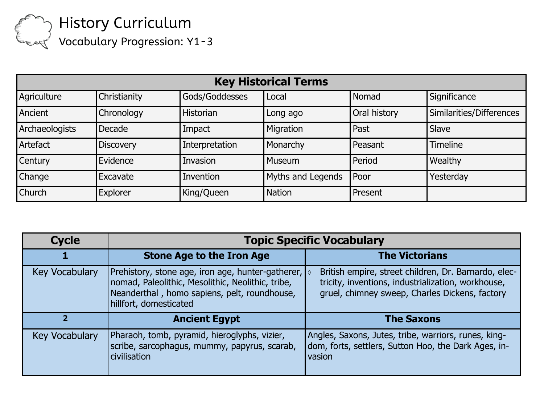Vocabulary Progression: Y1-3

| <b>Key Historical Terms</b> |                  |                |                   |              |                          |
|-----------------------------|------------------|----------------|-------------------|--------------|--------------------------|
| Agriculture                 | Christianity     | Gods/Goddesses | Local             | Nomad        | Significance             |
| Ancient                     | Chronology       | Historian      | Long ago          | Oral history | Similarities/Differences |
| Archaeologists              | Decade           | Impact         | Migration         | Past         | Slave                    |
| Artefact                    | <b>Discovery</b> | Interpretation | Monarchy          | Peasant      | <b>Timeline</b>          |
| <b>Century</b>              | Evidence         | Invasion       | <b>Museum</b>     | Period       | Wealthy                  |
| Change                      | Excavate         | Invention      | Myths and Legends | <b>Poor</b>  | Yesterday                |
| <b>Church</b>               | Explorer         | King/Queen     | <b>Nation</b>     | Present      |                          |

| <b>Cycle</b>   | <b>Topic Specific Vocabulary</b>                                                                                                                                                            |                                                                                                                                                              |  |  |
|----------------|---------------------------------------------------------------------------------------------------------------------------------------------------------------------------------------------|--------------------------------------------------------------------------------------------------------------------------------------------------------------|--|--|
|                | <b>Stone Age to the Iron Age</b>                                                                                                                                                            | <b>The Victorians</b>                                                                                                                                        |  |  |
| Key Vocabulary | Prehistory, stone age, iron age, hunter-gatherer, $\sqrt{ }$<br>nomad, Paleolithic, Mesolithic, Neolithic, tribe,<br>Neanderthal, homo sapiens, pelt, roundhouse,<br>hillfort, domesticated | British empire, street children, Dr. Barnardo, elec-<br>tricity, inventions, industrialization, workhouse,<br>gruel, chimney sweep, Charles Dickens, factory |  |  |
| 2              | <b>Ancient Egypt</b>                                                                                                                                                                        | <b>The Saxons</b>                                                                                                                                            |  |  |
| Key Vocabulary | Pharaoh, tomb, pyramid, hieroglyphs, vizier,<br>scribe, sarcophagus, mummy, papyrus, scarab,<br>civilisation                                                                                | Angles, Saxons, Jutes, tribe, warriors, runes, king-<br>dom, forts, settlers, Sutton Hoo, the Dark Ages, in-<br>vasion                                       |  |  |